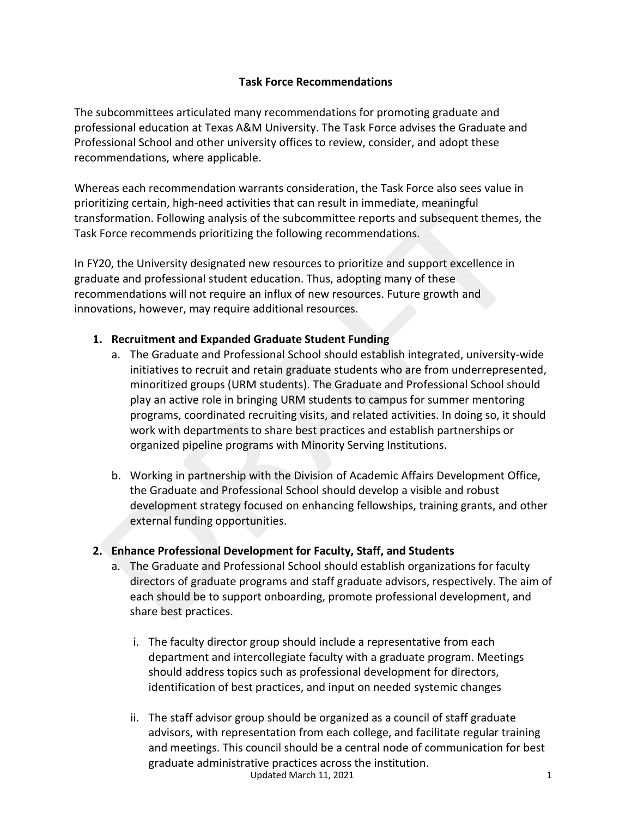### **Task Force Recommendations**

The subcommittees articulated many recommendations for promoting graduate and professional education at Texas A&M University. The Task Force advises the Graduate and Professional School and other university offices to review, consider, and adopt these recommendations, where applicable.

Whereas each recommendation warrants consideration, the Task Force also sees value in prioritizing certain, high-need activities that can result in immediate, meaningful transformation. Following analysis of the subcommittee reports and subsequent themes, the Task Force recommends prioritizing the following recommendations.

In FY20, the University designated new resources to prioritize and support excellence in graduate and professional student education. Thus, adopting many of these recommendations will not require an influx of new resources. Future growth and innovations, however, may require additional resources.

#### **1. Recruitment and Expanded Graduate Student Funding**

- a. The Graduate and Professional School should establish integrated, university-wide initiatives to recruit and retain graduate students who are from underrepresented, minoritized groups (URM students). The Graduate and Professional School should play an active role in bringing URM students to campus for summer mentoring programs, coordinated recruiting visits, and related activities. In doing so, it should work with departments to share best practices and establish partnerships or organized pipeline programs with Minority Serving Institutions.
- b. Working in partnership with the Division of Academic Affairs Development Office, the Graduate and Professional School should develop a visible and robust development strategy focused on enhancing fellowships, training grants, and other external funding opportunities.

# **2. Enhance Professional Development for Faculty, Staff, and Students**

- a. The Graduate and Professional School should establish organizations for faculty directors of graduate programs and staff graduate advisors, respectively. The aim of each should be to support onboarding, promote professional development, and share best practices.
	- i. The faculty director group should include a representative from each department and intercollegiate faculty with a graduate program. Meetings should address topics such as professional development for directors, identification of best practices, and input on needed systemic changes
	- Updated March 11, 2021 1 ii. The staff advisor group should be organized as a council of staff graduate advisors, with representation from each college, and facilitate regular training and meetings. This council should be a central node of communication for best graduate administrative practices across the institution.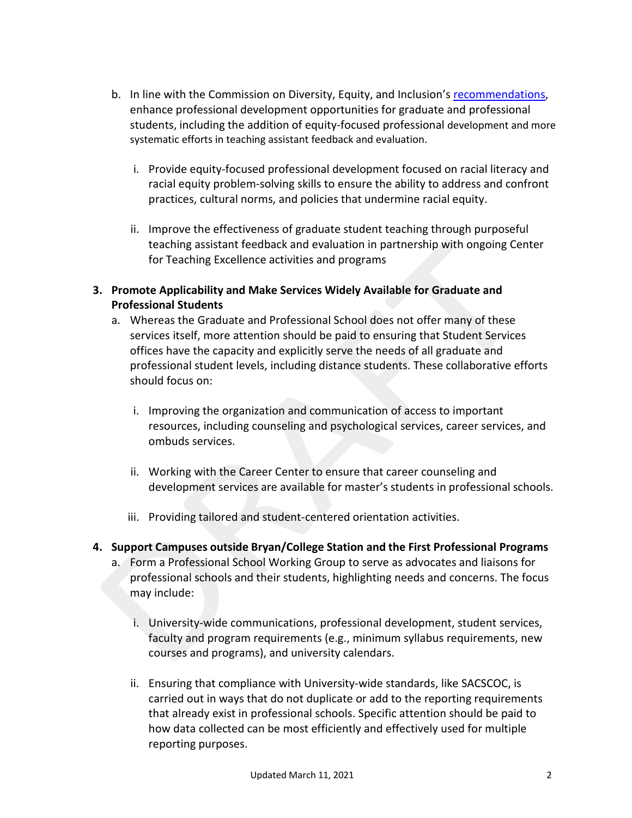- b. In line with the Commission on Diversity, Equity, and Inclusion's [recommendations,](https://president.tamu.edu/committees-task-forces/index.html) enhance professional development opportunities for graduate and professional students, including the addition of equity-focused professional development and more systematic efforts in teaching assistant feedback and evaluation.
	- i. Provide equity-focused professional development focused on racial literacy and racial equity problem-solving skills to ensure the ability to address and confront practices, cultural norms, and policies that undermine racial equity.
	- ii. Improve the effectiveness of graduate student teaching through purposeful teaching assistant feedback and evaluation in partnership with ongoing Center for Teaching Excellence activities and programs
- **3. Promote Applicability and Make Services Widely Available for Graduate and Professional Students**
	- a. Whereas the Graduate and Professional School does not offer many of these services itself, more attention should be paid to ensuring that Student Services offices have the capacity and explicitly serve the needs of all graduate and professional student levels, including distance students. These collaborative efforts should focus on:
		- i. Improving the organization and communication of access to important resources, including counseling and psychological services, career services, and ombuds services.
		- ii. Working with the Career Center to ensure that career counseling and development services are available for master's students in professional schools.
		- iii. Providing tailored and student-centered orientation activities.

# **4. Support Campuses outside Bryan/College Station and the First Professional Programs**

- a. Form a Professional School Working Group to serve as advocates and liaisons for professional schools and their students, highlighting needs and concerns. The focus may include:
	- i. University-wide communications, professional development, student services, faculty and program requirements (e.g., minimum syllabus requirements, new courses and programs), and university calendars.
	- ii. Ensuring that compliance with University-wide standards, like SACSCOC, is carried out in ways that do not duplicate or add to the reporting requirements that already exist in professional schools. Specific attention should be paid to how data collected can be most efficiently and effectively used for multiple reporting purposes.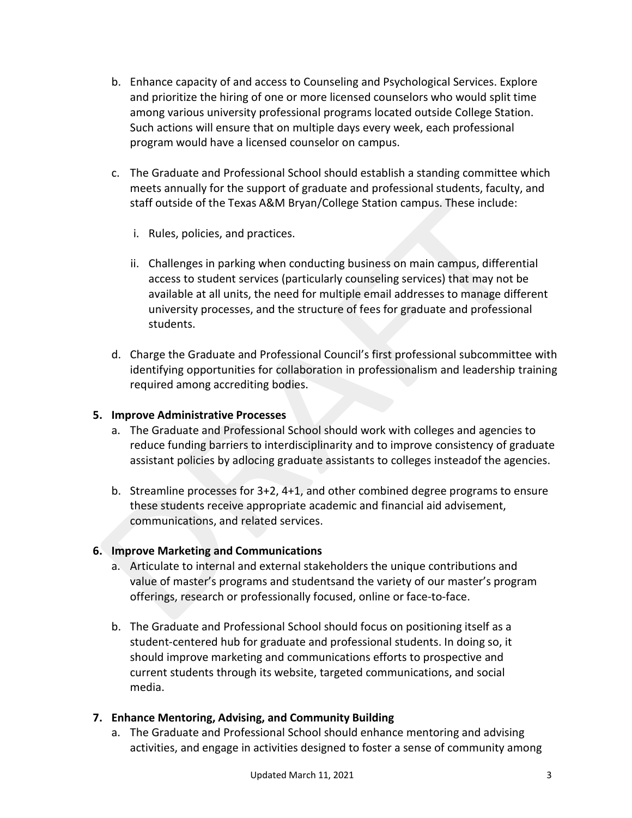- b. Enhance capacity of and access to Counseling and Psychological Services. Explore and prioritize the hiring of one or more licensed counselors who would split time among various university professional programs located outside College Station. Such actions will ensure that on multiple days every week, each professional program would have a licensed counselor on campus.
- c. The Graduate and Professional School should establish a standing committee which meets annually for the support of graduate and professional students, faculty, and staff outside of the Texas A&M Bryan/College Station campus. These include:
	- i. Rules, policies, and practices.
	- ii. Challenges in parking when conducting business on main campus, differential access to student services (particularly counseling services) that may not be available at all units, the need for multiple email addresses to manage different university processes, and the structure of fees for graduate and professional students.
- d. Charge the Graduate and Professional Council's first professional subcommittee with identifying opportunities for collaboration in professionalism and leadership training required among accrediting bodies.

#### **5. Improve Administrative Processes**

- a. The Graduate and Professional School should work with colleges and agencies to reduce funding barriers to interdisciplinarity and to improve consistency of graduate assistant policies by adlocing graduate assistants to colleges insteadof the agencies.
- b. Streamline processes for 3+2, 4+1, and other combined degree programs to ensure these students receive appropriate academic and financial aid advisement, communications, and related services.

#### **6. Improve Marketing and Communications**

- a. Articulate to internal and external stakeholders the unique contributions and value of master's programs and studentsand the variety of our master's program offerings, research or professionally focused, online or face-to-face.
- b. The Graduate and Professional School should focus on positioning itself as a student-centered hub for graduate and professional students. In doing so, it should improve marketing and communications efforts to prospective and current students through its website, targeted communications, and social media.

# **7. Enhance Mentoring, Advising, and Community Building**

a. The Graduate and Professional School should enhance mentoring and advising activities, and engage in activities designed to foster a sense of community among